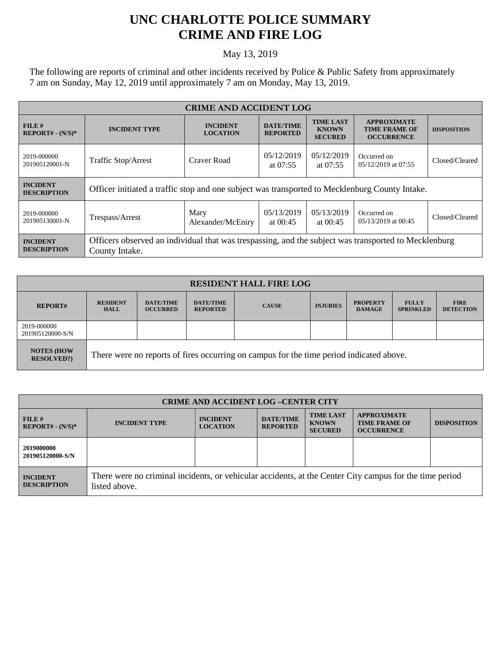## **UNC CHARLOTTE POLICE SUMMARY CRIME AND FIRE LOG**

## May 13, 2019

The following are reports of criminal and other incidents received by Police & Public Safety from approximately 7 am on Sunday, May 12, 2019 until approximately 7 am on Monday, May 13, 2019.

| <b>CRIME AND ACCIDENT LOG</b>         |                                                                                                                        |                                    |                                     |                                                    |                                                                 |                    |  |
|---------------------------------------|------------------------------------------------------------------------------------------------------------------------|------------------------------------|-------------------------------------|----------------------------------------------------|-----------------------------------------------------------------|--------------------|--|
| $FILE$ #<br>$REPORT# - (N/S)*$        | <b>INCIDENT TYPE</b>                                                                                                   | <b>INCIDENT</b><br><b>LOCATION</b> | <b>DATE/TIME</b><br><b>REPORTED</b> | <b>TIME LAST</b><br><b>KNOWN</b><br><b>SECURED</b> | <b>APPROXIMATE</b><br><b>TIME FRAME OF</b><br><b>OCCURRENCE</b> | <b>DISPOSITION</b> |  |
| 2019-000000<br>201905120001-N         | Traffic Stop/Arrest                                                                                                    | Craver Road                        | 05/12/2019<br>at $07:55$            | 05/12/2019<br>at $07:55$                           | Occurred on<br>05/12/2019 at 07:55                              | Closed/Cleared     |  |
| <b>INCIDENT</b><br><b>DESCRIPTION</b> | Officer initiated a traffic stop and one subject was transported to Mecklenburg County Intake.                         |                                    |                                     |                                                    |                                                                 |                    |  |
| 2019-000000<br>201905130001-N         | Trespass/Arrest                                                                                                        | Mary<br>Alexander/McEniry          | 05/13/2019<br>at $00:45$            | 05/13/2019<br>at $00:45$                           | Occurred on<br>05/13/2019 at 00:45                              | Closed/Cleared     |  |
| <b>INCIDENT</b><br><b>DESCRIPTION</b> | Officers observed an individual that was trespassing, and the subject was transported to Mecklenburg<br>County Intake. |                                    |                                     |                                                    |                                                                 |                    |  |

| <b>RESIDENT HALL FIRE LOG</b>           |                                                                                         |                                     |                                     |              |                 |                                  |                                  |                                 |
|-----------------------------------------|-----------------------------------------------------------------------------------------|-------------------------------------|-------------------------------------|--------------|-----------------|----------------------------------|----------------------------------|---------------------------------|
| <b>REPORT#</b>                          | <b>RESIDENT</b><br><b>HALL</b>                                                          | <b>DATE/TIME</b><br><b>OCCURRED</b> | <b>DATE/TIME</b><br><b>REPORTED</b> | <b>CAUSE</b> | <b>INJURIES</b> | <b>PROPERTY</b><br><b>DAMAGE</b> | <b>FULLY</b><br><b>SPRINKLED</b> | <b>FIRE</b><br><b>DETECTION</b> |
| 2019-000000<br>201905120000-S/N         |                                                                                         |                                     |                                     |              |                 |                                  |                                  |                                 |
| <b>NOTES (HOW)</b><br><b>RESOLVED?)</b> | There were no reports of fires occurring on campus for the time period indicated above. |                                     |                                     |              |                 |                                  |                                  |                                 |

| <b>CRIME AND ACCIDENT LOG-CENTER CITY</b> |                                                                                                                          |                                    |                                     |                                                    |                                                                 |                    |
|-------------------------------------------|--------------------------------------------------------------------------------------------------------------------------|------------------------------------|-------------------------------------|----------------------------------------------------|-----------------------------------------------------------------|--------------------|
| FILE#<br>$REPORT# - (N/S)*$               | <b>INCIDENT TYPE</b>                                                                                                     | <b>INCIDENT</b><br><b>LOCATION</b> | <b>DATE/TIME</b><br><b>REPORTED</b> | <b>TIME LAST</b><br><b>KNOWN</b><br><b>SECURED</b> | <b>APPROXIMATE</b><br><b>TIME FRAME OF</b><br><b>OCCURRENCE</b> | <b>DISPOSITION</b> |
| 2019000000<br>201905120000-S/N            |                                                                                                                          |                                    |                                     |                                                    |                                                                 |                    |
| <b>INCIDENT</b><br><b>DESCRIPTION</b>     | There were no criminal incidents, or vehicular accidents, at the Center City campus for the time period<br>listed above. |                                    |                                     |                                                    |                                                                 |                    |